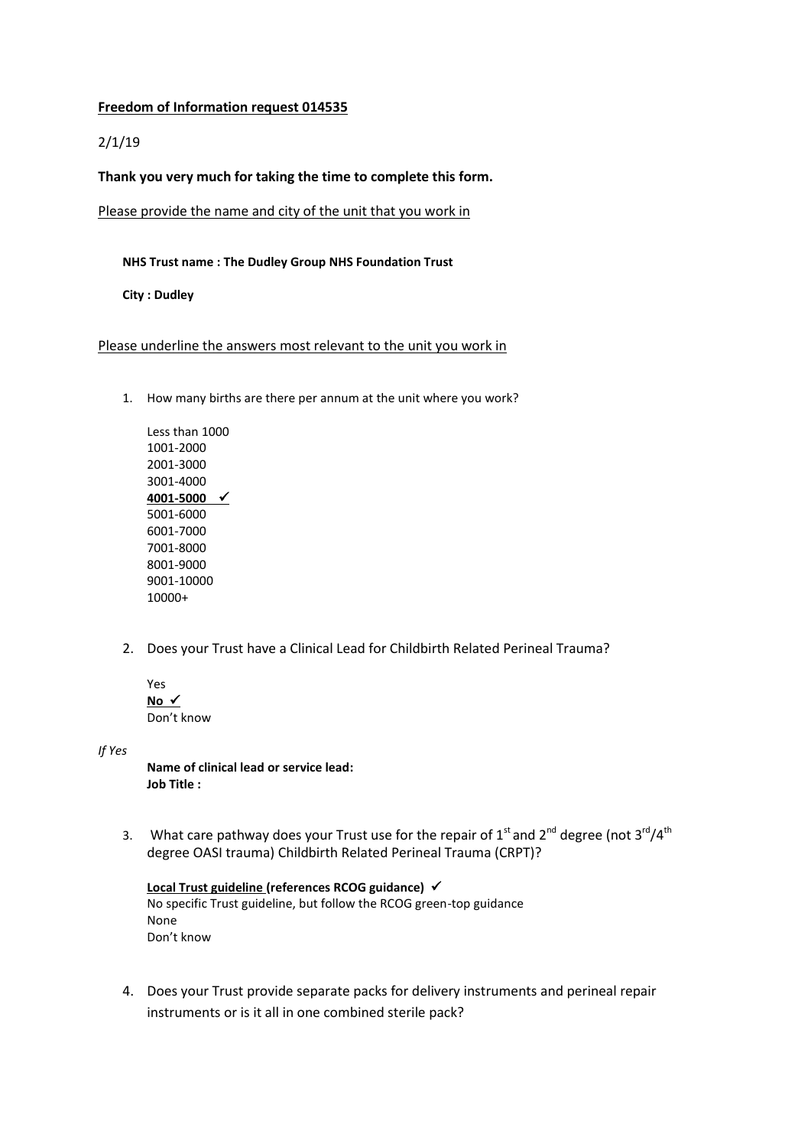## **Freedom of Information request 014535**

## 2/1/19

## **Thank you very much for taking the time to complete this form.**

Please provide the name and city of the unit that you work in

## **NHS Trust name : The Dudley Group NHS Foundation Trust**

**City : Dudley**

Please underline the answers most relevant to the unit you work in

1. How many births are there per annum at the unit where you work?

Less than 1000 1001-2000 2001-3000 3001-4000 **4001-5000**  5001-6000 6001-7000 7001-8000 8001-9000 9001-10000 10000+

- 2. Does your Trust have a Clinical Lead for Childbirth Related Perineal Trauma?
	- Yes **No**  Don't know

*If Yes* 

**Name of clinical lead or service lead: Job Title :**

3. What care pathway does your Trust use for the repair of  $1<sup>st</sup>$  and  $2<sup>nd</sup>$  degree (not  $3<sup>rd</sup>/4<sup>th</sup>$ degree OASI trauma) Childbirth Related Perineal Trauma (CRPT)?

```
Local Trust guideline (references RCOG guidance) 
No specific Trust guideline, but follow the RCOG green-top guidance
None
Don't know
```
4. Does your Trust provide separate packs for delivery instruments and perineal repair instruments or is it all in one combined sterile pack?